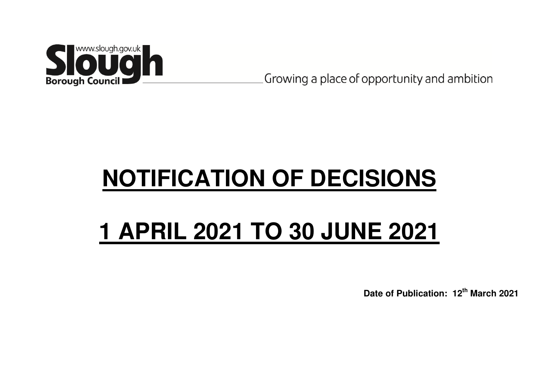

Growing a place of opportunity and ambition

# **NOTIFICATION OF DECISIONS**

## **1 APRIL 2021 TO 30 JUNE 2021**

**Date of Publication: 12th March 2021**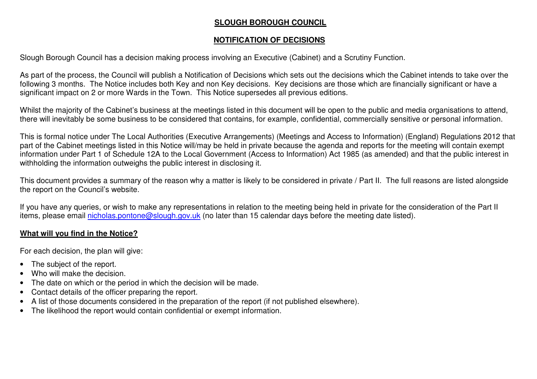#### **SLOUGH BOROUGH COUNCIL**

#### **NOTIFICATION OF DECISIONS**

Slough Borough Council has a decision making process involving an Executive (Cabinet) and a Scrutiny Function.

As part of the process, the Council will publish a Notification of Decisions which sets out the decisions which the Cabinet intends to take over the following 3 months. The Notice includes both Key and non Key decisions. Key decisions are those which are financially significant or have a significant impact on 2 or more Wards in the Town. This Notice supersedes all previous editions.

Whilst the majority of the Cabinet's business at the meetings listed in this document will be open to the public and media organisations to attend, there will inevitably be some business to be considered that contains, for example, confidential, commercially sensitive or personal information.

This is formal notice under The Local Authorities (Executive Arrangements) (Meetings and Access to Information) (England) Regulations 2012 that part of the Cabinet meetings listed in this Notice will/may be held in private because the agenda and reports for the meeting will contain exempt information under Part 1 of Schedule 12A to the Local Government (Access to Information) Act 1985 (as amended) and that the public interest in withholding the information outweighs the public interest in disclosing it.

This document provides a summary of the reason why a matter is likely to be considered in private / Part II. The full reasons are listed alongside the report on the Council's website.

If you have any queries, or wish to make any representations in relation to the meeting being held in private for the consideration of the Part II items, please email nicholas.pontone@slough.gov.uk (no later than 15 calendar days before the meeting date listed).

#### **What will you find in the Notice?**

For each decision, the plan will give:

- The subject of the report.
- Who will make the decision.
- The date on which or the period in which the decision will be made.
- Contact details of the officer preparing the report.
- A list of those documents considered in the preparation of the report (if not published elsewhere).
- The likelihood the report would contain confidential or exempt information.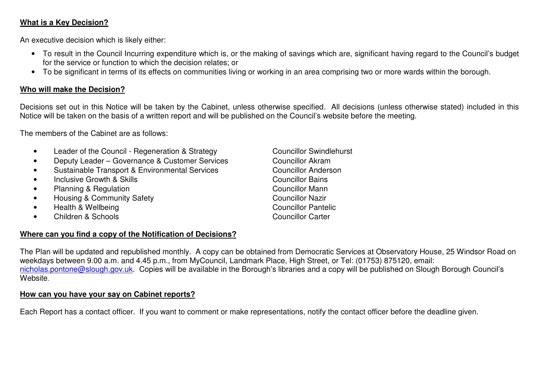#### **What is a Key Decision?**

An executive decision which is likely either:

- To result in the Council Incurring expenditure which is, or the making of savings which are, significant having regard to the Council's budget for the service or function to which the decision relates; or
- To be significant in terms of its effects on communities living or working in an area comprising two or more wards within the borough.

#### **Who will make the Decision?**

Decisions set out in this Notice will be taken by the Cabinet, unless otherwise specified. All decisions (unless otherwise stated) included in this Notice will be taken on the basis of a written report and will be published on the Council's website before the meeting.

The members of the Cabinet are as follows:

- Leader of the Council Regeneration & Strategy Councillor Swindlehurst
- Deputy Leader Governance & Customer Services Councillor Akram
- Sustainable Transport & Environmental Services
- Inclusive Growth & Skills **Councillor Bains** Councillor Bains
- $\bullet$  Planning & Regulation
- **Francisco Exercise School Housing & Community Safety** Councillor Nazir
- Health & Wellbeing Councillor Pantelic
- Children & Schools Councillor Carter

#### **Where can you find a copy of the Notification of Decisions?**

**Councillor Anderson** Councillor Mann

The Plan will be updated and republished monthly. A copy can be obtained from Democratic Services at Observatory House, 25 Windsor Road on weekdays between 9.00 a.m. and 4.45 p.m., from MyCouncil, Landmark Place, High Street, or Tel: (01753) 875120, email: nicholas.pontone@slough.gov.uk</u>. Copies will be available in the Borough's libraries and a copy will be published on Slough Borough Council's **Website** 

#### **How can you have your say on Cabinet reports?**

Each Report has a contact officer. If you want to comment or make representations, notify the contact officer before the deadline given.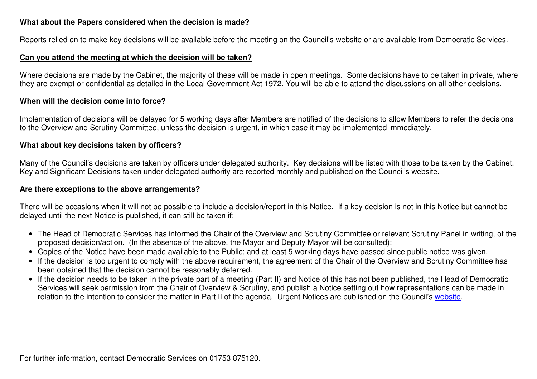#### **What about the Papers considered when the decision is made?**

Reports relied on to make key decisions will be available before the meeting on the Council's website or are available from Democratic Services.

#### **Can you attend the meeting at which the decision will be taken?**

Where decisions are made by the Cabinet, the majority of these will be made in open meetings. Some decisions have to be taken in private, where they are exempt or confidential as detailed in the Local Government Act 1972. You will be able to attend the discussions on all other decisions.

#### **When will the decision come into force?**

Implementation of decisions will be delayed for 5 working days after Members are notified of the decisions to allow Members to refer the decisions to the Overview and Scrutiny Committee, unless the decision is urgent, in which case it may be implemented immediately.

#### **What about key decisions taken by officers?**

Many of the Council's decisions are taken by officers under delegated authority. Key decisions will be listed with those to be taken by the Cabinet. Key and Significant Decisions taken under delegated authority are reported monthly and published on the Council's website.

#### **Are there exceptions to the above arrangements?**

There will be occasions when it will not be possible to include a decision/report in this Notice. If a key decision is not in this Notice but cannot be delayed until the next Notice is published, it can still be taken if:

- The Head of Democratic Services has informed the Chair of the Overview and Scrutiny Committee or relevant Scrutiny Panel in writing, of the proposed decision/action. (In the absence of the above, the Mayor and Deputy Mayor will be consulted);
- Copies of the Notice have been made available to the Public; and at least 5 working days have passed since public notice was given.
- If the decision is too urgent to comply with the above requirement, the agreement of the Chair of the Overview and Scrutiny Committee has been obtained that the decision cannot be reasonably deferred.
- If the decision needs to be taken in the private part of a meeting (Part II) and Notice of this has not been published, the Head of Democratic Services will seek permission from the Chair of Overview & Scrutiny, and publish a Notice setting out how representations can be made in relation to the intention to consider the matter in Part II of the agenda. Urgent Notices are published on the Council's website.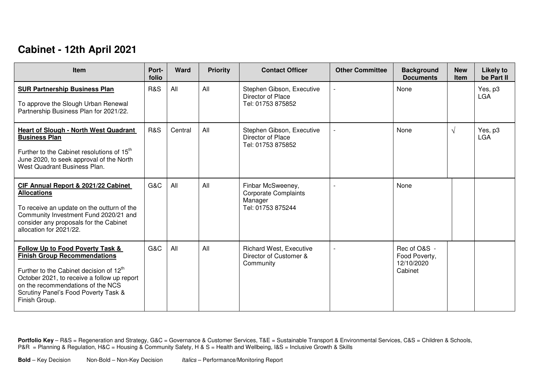## **Cabinet - 12th April 2021**

| <b>Item</b>                                                                                                                                                                                                                                                                            | Port-<br>folio | Ward    | <b>Priority</b> | <b>Contact Officer</b>                                                           | <b>Other Committee</b> | <b>Background</b><br><b>Documents</b>                  | <b>New</b><br><b>Item</b> | <b>Likely to</b><br>be Part II |
|----------------------------------------------------------------------------------------------------------------------------------------------------------------------------------------------------------------------------------------------------------------------------------------|----------------|---------|-----------------|----------------------------------------------------------------------------------|------------------------|--------------------------------------------------------|---------------------------|--------------------------------|
| <b>SUR Partnership Business Plan</b><br>To approve the Slough Urban Renewal<br>Partnership Business Plan for 2021/22.                                                                                                                                                                  | <b>R&amp;S</b> | All     | All             | Stephen Gibson, Executive<br>Director of Place<br>Tel: 01753 875852              |                        | None                                                   |                           | Yes, p3<br><b>LGA</b>          |
| <b>Heart of Slough - North West Quadrant</b><br><b>Business Plan</b><br>Further to the Cabinet resolutions of 15 <sup>th</sup><br>June 2020, to seek approval of the North<br>West Quadrant Business Plan.                                                                             | <b>R&amp;S</b> | Central | All             | Stephen Gibson, Executive<br>Director of Place<br>Tel: 01753 875852              |                        | None                                                   | $\sqrt{ }$                | Yes, p3<br><b>LGA</b>          |
| CIF Annual Report & 2021/22 Cabinet<br><b>Allocations</b><br>To receive an update on the outturn of the<br>Community Investment Fund 2020/21 and<br>consider any proposals for the Cabinet<br>allocation for 2021/22.                                                                  | G&C            | All     | All             | Finbar McSweeney,<br><b>Corporate Complaints</b><br>Manager<br>Tel: 01753 875244 |                        | None                                                   |                           |                                |
| <b>Follow Up to Food Poverty Task &amp;</b><br><b>Finish Group Recommendations</b><br>Further to the Cabinet decision of 12 <sup>th</sup><br>October 2021, to receive a follow up report<br>on the recommendations of the NCS<br>Scrutiny Panel's Food Poverty Task &<br>Finish Group. | G&C            | All     | All             | <b>Richard West, Executive</b><br>Director of Customer &<br>Community            |                        | Rec of O&S -<br>Food Poverty,<br>12/10/2020<br>Cabinet |                           |                                |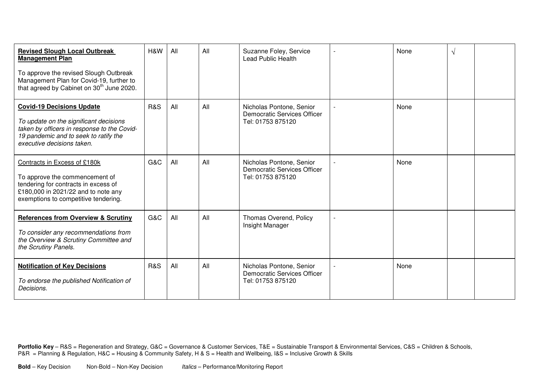| <b>Revised Slough Local Outbreak</b><br><b>Management Plan</b><br>To approve the revised Slough Outbreak<br>Management Plan for Covid-19, further to<br>that agreed by Cabinet on 30 <sup>th</sup> June 2020. | H&W            | All | All | Suzanne Foley, Service<br><b>Lead Public Health</b>                          | None | √ |  |
|---------------------------------------------------------------------------------------------------------------------------------------------------------------------------------------------------------------|----------------|-----|-----|------------------------------------------------------------------------------|------|---|--|
| <b>Covid-19 Decisions Update</b><br>To update on the significant decisions<br>taken by officers in response to the Covid-<br>19 pandemic and to seek to ratify the<br>executive decisions taken.              | <b>R&amp;S</b> | All | All | Nicholas Pontone, Senior<br>Democratic Services Officer<br>Tel: 01753 875120 | None |   |  |
| Contracts in Excess of £180k<br>To approve the commencement of<br>tendering for contracts in excess of<br>£180,000 in 2021/22 and to note any<br>exemptions to competitive tendering.                         | G&C            | All | All | Nicholas Pontone, Senior<br>Democratic Services Officer<br>Tel: 01753 875120 | None |   |  |
| <b>References from Overview &amp; Scrutiny</b><br>To consider any recommendations from<br>the Overview & Scrutiny Committee and<br>the Scrutiny Panels.                                                       | G&C            | All | All | Thomas Overend, Policy<br>Insight Manager                                    |      |   |  |
| <b>Notification of Key Decisions</b><br>To endorse the published Notification of<br>Decisions.                                                                                                                | <b>R&amp;S</b> | All | All | Nicholas Pontone, Senior<br>Democratic Services Officer<br>Tel: 01753 875120 | None |   |  |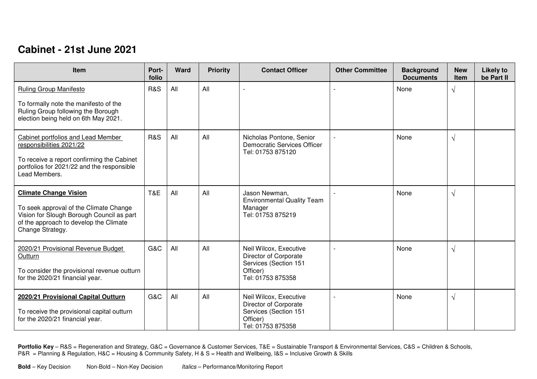### **Cabinet - 21st June 2021**

| Item                                                                                                                                                                              | Port-<br>folio | Ward | <b>Priority</b> | <b>Contact Officer</b>                                                                                    | <b>Other Committee</b> | <b>Background</b><br><b>Documents</b> | <b>New</b><br>Item | <b>Likely to</b><br>be Part II |
|-----------------------------------------------------------------------------------------------------------------------------------------------------------------------------------|----------------|------|-----------------|-----------------------------------------------------------------------------------------------------------|------------------------|---------------------------------------|--------------------|--------------------------------|
| <b>Ruling Group Manifesto</b>                                                                                                                                                     | <b>R&amp;S</b> | All  | All             |                                                                                                           |                        | None                                  | $\sqrt{}$          |                                |
| To formally note the manifesto of the<br>Ruling Group following the Borough<br>election being held on 6th May 2021.                                                               |                |      |                 |                                                                                                           |                        |                                       |                    |                                |
| Cabinet portfolios and Lead Member<br>responsibilities 2021/22<br>To receive a report confirming the Cabinet<br>portfolios for 2021/22 and the responsible<br>Lead Members.       | <b>R&amp;S</b> | All  | All             | Nicholas Pontone, Senior<br><b>Democratic Services Officer</b><br>Tel: 01753 875120                       |                        | None                                  | $\sqrt{}$          |                                |
| <b>Climate Change Vision</b><br>To seek approval of the Climate Change<br>Vision for Slough Borough Council as part<br>of the approach to develop the Climate<br>Change Strategy. | T&E            | All  | All             | Jason Newman,<br><b>Environmental Quality Team</b><br>Manager<br>Tel: 01753 875219                        |                        | None                                  | $\sqrt{}$          |                                |
| 2020/21 Provisional Revenue Budget<br>Outturn<br>To consider the provisional revenue outturn<br>for the 2020/21 financial year.                                                   | G&C            | All  | All             | Neil Wilcox, Executive<br>Director of Corporate<br>Services (Section 151<br>Officer)<br>Tel: 01753 875358 |                        | None                                  | $\sqrt{}$          |                                |
| 2020/21 Provisional Capital Outturn<br>To receive the provisional capital outturn<br>for the 2020/21 financial year.                                                              | G&C            | All  | All             | Neil Wilcox, Executive<br>Director of Corporate<br>Services (Section 151<br>Officer)<br>Tel: 01753 875358 |                        | None                                  | $\sqrt{}$          |                                |